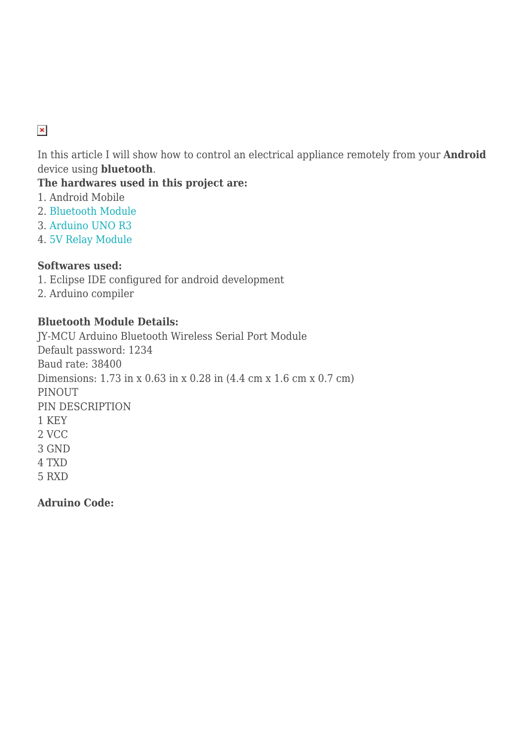# $\pmb{\times}$

In this article I will show how to control an electrical appliance remotely from your **Android** device using **bluetooth**.

**The hardwares used in this project are:**

- 1. Android Mobile
- 2. [Bluetooth Module](http://www.hobbycomponents.com/index.php?route=product/product&product_id=116)
- 3. [Arduino UNO R3](http://arduino.cc/en/Main/arduinoBoardUno)
- 4. [5V Relay Module](http://dx.com/p/1-channel-5v-relay-module-for-arduino-green-154909)

### **Softwares used:**

- 1. Eclipse IDE configured for android development
- 2. Arduino compiler

### **Bluetooth Module Details:**

JY-MCU Arduino Bluetooth Wireless Serial Port Module Default password: 1234 Baud rate: 38400 Dimensions: 1.73 in x 0.63 in x 0.28 in (4.4 cm x 1.6 cm x 0.7 cm) PINOUT PIN DESCRIPTION 1 KEY 2 VCC 3 GND 4 TXD 5 RXD

**Adruino Code:**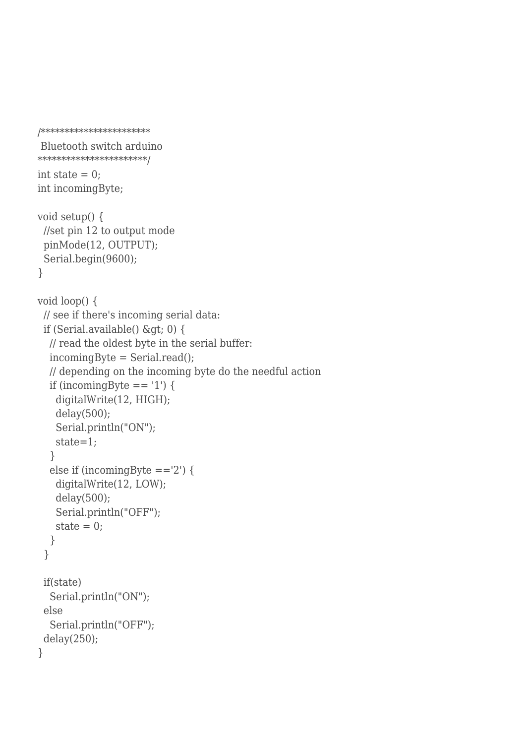```
/***********************
```

```
 Bluetooth switch arduino
*******************/
int state = 0;
int incomingByte;
void setup() {
  //set pin 12 to output mode
  pinMode(12, OUTPUT);
  Serial.begin(9600);
}
void loop() {
  // see if there's incoming serial data:
 if (Serial.available() \>gt;0 {
   // read the oldest byte in the serial buffer:
  incomingByte = Serial.read(); // depending on the incoming byte do the needful action
  if (incomingByte == '1') {
    digitalWrite(12, HIGH);
     delay(500);
     Serial.println("ON");
     state=1;
   }
  else if (incomingByte =='2') {
     digitalWrite(12, LOW);
     delay(500);
     Serial.println("OFF");
    state = 0;
   }
  }
  if(state)
   Serial.println("ON");
  else
   Serial.println("OFF");
  delay(250);
}
```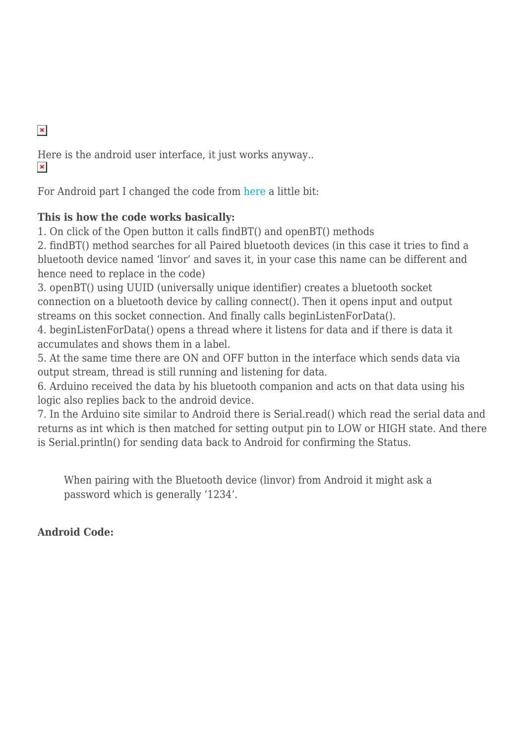$\pmb{\times}$ 

Here is the android user interface, it just works anyway..  $\pmb{\times}$ 

For Android part I changed the code from [here](http://bellcode.wordpress.com/2012/01/02/android-and-arduino-bluetooth-communication/) a little bit:

## **This is how the code works basically:**

1. On click of the Open button it calls findBT() and openBT() methods

2. findBT() method searches for all Paired bluetooth devices (in this case it tries to find a bluetooth device named 'linvor' and saves it, in your case this name can be different and hence need to replace in the code)

3. openBT() using UUID (universally unique identifier) creates a bluetooth socket connection on a bluetooth device by calling connect(). Then it opens input and output streams on this socket connection. And finally calls beginListenForData().

4. beginListenForData() opens a thread where it listens for data and if there is data it accumulates and shows them in a label.

5. At the same time there are ON and OFF button in the interface which sends data via output stream, thread is still running and listening for data.

6. Arduino received the data by his bluetooth companion and acts on that data using his logic also replies back to the android device.

7. In the Arduino site similar to Android there is Serial.read() which read the serial data and returns as int which is then matched for setting output pin to LOW or HIGH state. And there is Serial.println() for sending data back to Android for confirming the Status.

When pairing with the Bluetooth device (linvor) from Android it might ask a password which is generally '1234'.

# **Android Code:**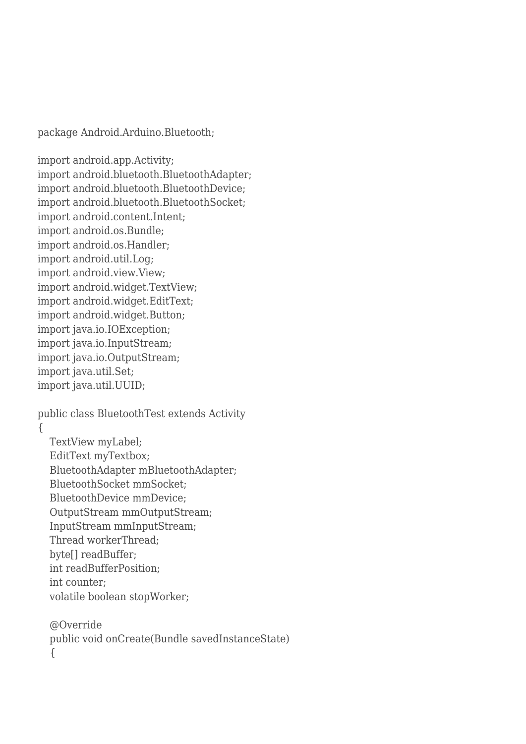package Android.Arduino.Bluetooth;

import android.app.Activity; import android.bluetooth.BluetoothAdapter; import android.bluetooth.BluetoothDevice; import android.bluetooth.BluetoothSocket; import android.content.Intent; import android.os.Bundle; import android.os.Handler; import android.util.Log; import android.view.View; import android.widget.TextView; import android.widget.EditText; import android.widget.Button; import java.io.IOException; import java.io.InputStream; import java.io.OutputStream; import java.util.Set; import java.util.UUID;

public class BluetoothTest extends Activity

{

 TextView myLabel; EditText myTextbox; BluetoothAdapter mBluetoothAdapter; BluetoothSocket mmSocket; BluetoothDevice mmDevice; OutputStream mmOutputStream; InputStream mmInputStream; Thread workerThread; byte[] readBuffer; int readBufferPosition; int counter; volatile boolean stopWorker;

 @Override public void onCreate(Bundle savedInstanceState) {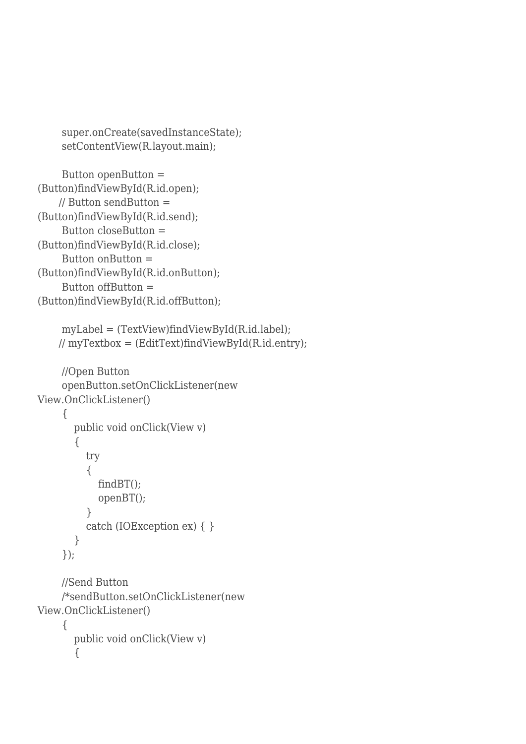```
 super.onCreate(savedInstanceState);
 setContentView(R.layout.main);
```

```
 Button openButton =
(Button)findViewById(R.id.open);
     // Button sendButton =
(Button)findViewById(R.id.send);
     Button closeButton =
(Button)findViewById(R.id.close);
     Button onButton =
(Button)findViewById(R.id.onButton);
     Button offButton =
(Button)findViewById(R.id.offButton);
     myLabel = (TextView)findViewById(R.id.label);
    // myTextbox = (EditText)findViewById(R.id.entry); //Open Button
     openButton.setOnClickListener(new
View.OnClickListener()
      {
        public void onClick(View v)
        {
          try
           {
             findBT();
             openBT();
 }
          catch (IOException ex) { }
        }
     });
     //Send Button
     /*sendButton.setOnClickListener(new
View.OnClickListener()
      {
        public void onClick(View v)
        {
```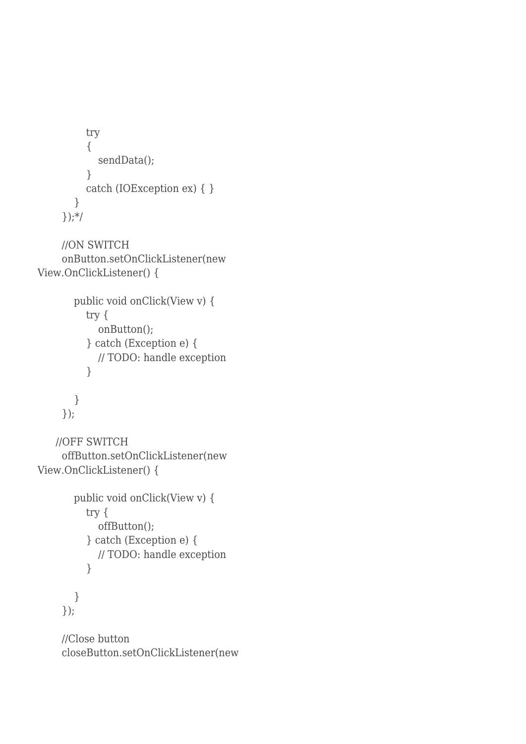```
 try
           {
             sendData();
           }
           catch (IOException ex) { }
         }
      });*/
      //ON SWITCH
      onButton.setOnClickListener(new
View.OnClickListener() {
        public void onClick(View v) {
           try {
              onButton();
           } catch (Exception e) {
             // TODO: handle exception
           }
        }
      });
    //OFF SWITCH
      offButton.setOnClickListener(new
View.OnClickListener() {
        public void onClick(View v) {
           try {
              offButton();
           } catch (Exception e) {
             // TODO: handle exception
           }
        }
      });
      //Close button
```

```
 closeButton.setOnClickListener(new
```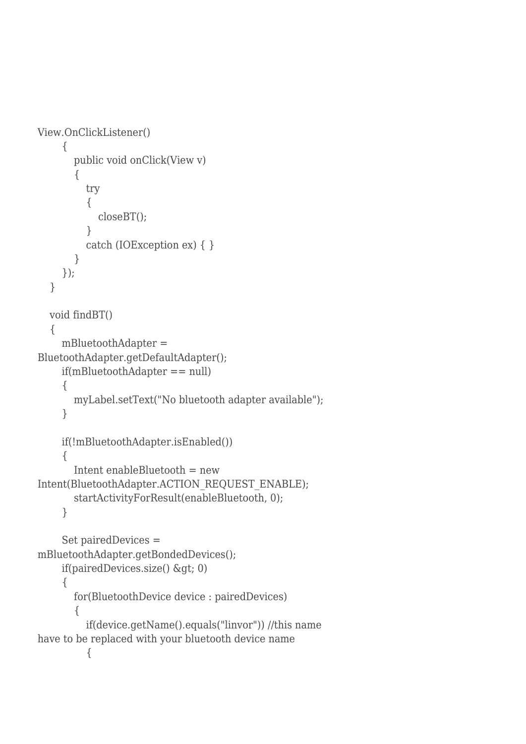```
View.OnClickListener()
     {
        public void onClick(View v)
        {
          try
\{ closeBT();
 }
          catch (IOException ex) { }
        }
     });
   }
   void findBT()
   {
     mBluetoothAdapter =
BluetoothAdapter.getDefaultAdapter();
     if(mBluetoothAdapter == null)
      {
        myLabel.setText("No bluetooth adapter available");
      }
     if(!mBluetoothAdapter.isEnabled())
      {
        Intent enableBluetooth = new
Intent(BluetoothAdapter.ACTION_REQUEST_ENABLE);
        startActivityForResult(enableBluetooth, 0);
      }
     Set pairedDevices =
mBluetoothAdapter.getBondedDevices();
    if(pairedDevices.size() \>gt;; 0)
      {
        for(BluetoothDevice device : pairedDevices)
        {
          if(device.getName().equals("linvor")) //this name
have to be replaced with your bluetooth device name
           {
```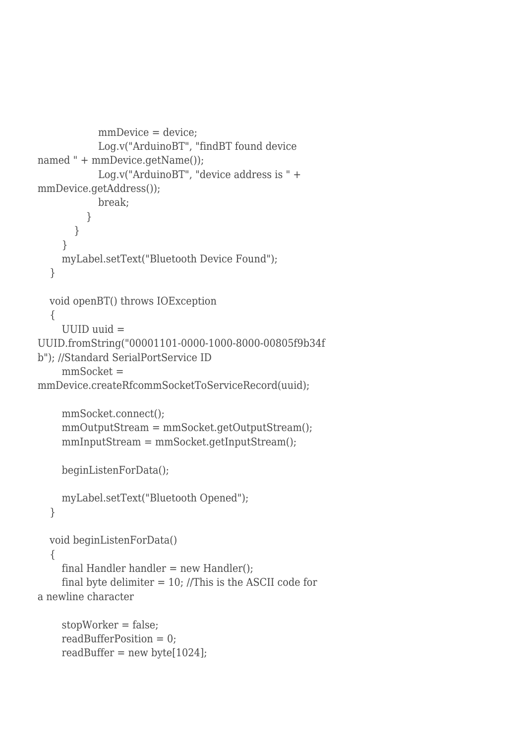```
mmDevice = device:
             Log.v("ArduinoBT", "findBT found device
named " + mmDevice.getName());
            Log.v("ArduinoBT", "device address is " +
mmDevice.getAddress());
            break;
          }
        }
     }
     myLabel.setText("Bluetooth Device Found");
   }
   void openBT() throws IOException
   {
    UUID uuid =UUID.fromString("00001101-0000-1000-8000-00805f9b34f
b"); //Standard SerialPortService ID
    mmSocket =mmDevice.createRfcommSocketToServiceRecord(uuid); 
     mmSocket.connect();
     mmOutputStream = mmSocket.getOutputStream();
     mmInputStream = mmSocket.getInputStream();
     beginListenForData();
     myLabel.setText("Bluetooth Opened");
   }
   void beginListenForData()
   {
    final Handler handler = new Handler();
    final byte delimiter = 10; //This is the ASCII code for
a newline character
     stopWorker = false;
     readBufferPosition = 0;
    readBuffer = new byte[1024];
```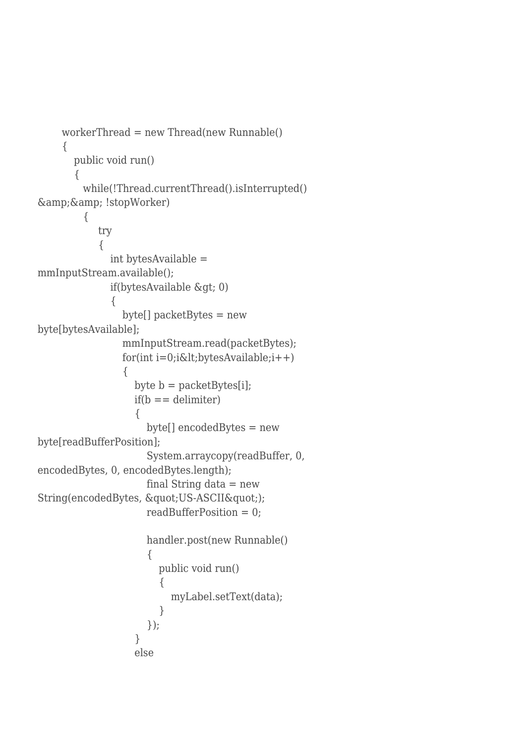```
workerThread = new Thread(new Runnable()
     {
       public void run()
       { 
        while(!Thread.currentThread().isInterrupted()
\&; \&;!stopWorker) {
           try
\{ int bytesAvailable =
mmInputStream.available(); 
            if(bytesAvailable \>gt;; 0)
\{ byte[] packetBytes = new
byte[bytesAvailable];
               mmInputStream.read(packetBytes);
              for(int i=0;i<lt;;bytesAvailable;i++)\{byte b = packetBytes[i];if(b == delimiter)\{ byte[] encodedBytes = new
byte[readBufferPosition];
                   System.arraycopy(readBuffer, 0,
encodedBytes, 0, encodedBytes.length);
                   final String data = new
String(encodedBytes, "US-ASCII");
                   readBufferPosition = 0;
                   handler.post(new Runnable()
\{ public void run()
\{ myLabel.setText(data);
 }
                   });
 }
                 else
```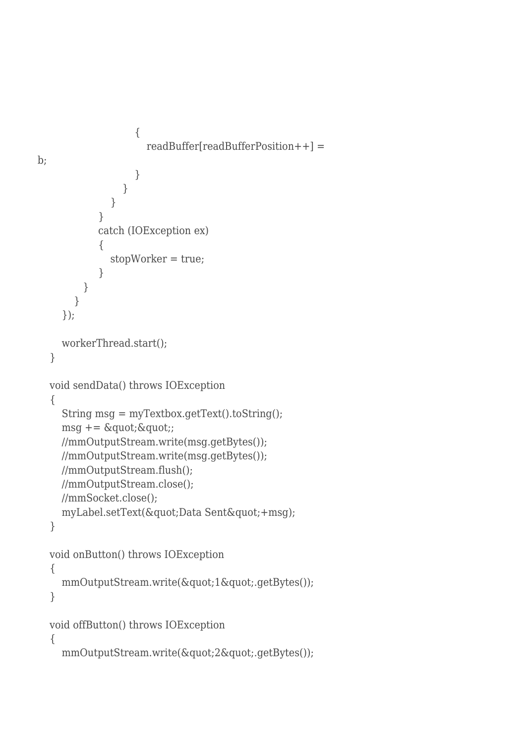```
\{ readBuffer[readBufferPosition++] =
b;
 }
 }
 }
 }
           catch (IOException ex)
\{ stopWorker = true;
 }
        }
       }
     });
     workerThread.start();
   }
   void sendData() throws IOException
   {
     String msg = myTextbox.getText().toString();
    msg += \&\text{quot};\&\text{quot};; //mmOutputStream.write(msg.getBytes());
     //mmOutputStream.write(msg.getBytes());
     //mmOutputStream.flush();
     //mmOutputStream.close();
     //mmSocket.close();
    myLabel.setText("Data Sent"+msg);
   }
   void onButton() throws IOException
   {
    mmOutputStream.write("1".getBytes());
   }
   void offButton() throws IOException
   {
    mmOutputStream.write("2".getBytes());
```